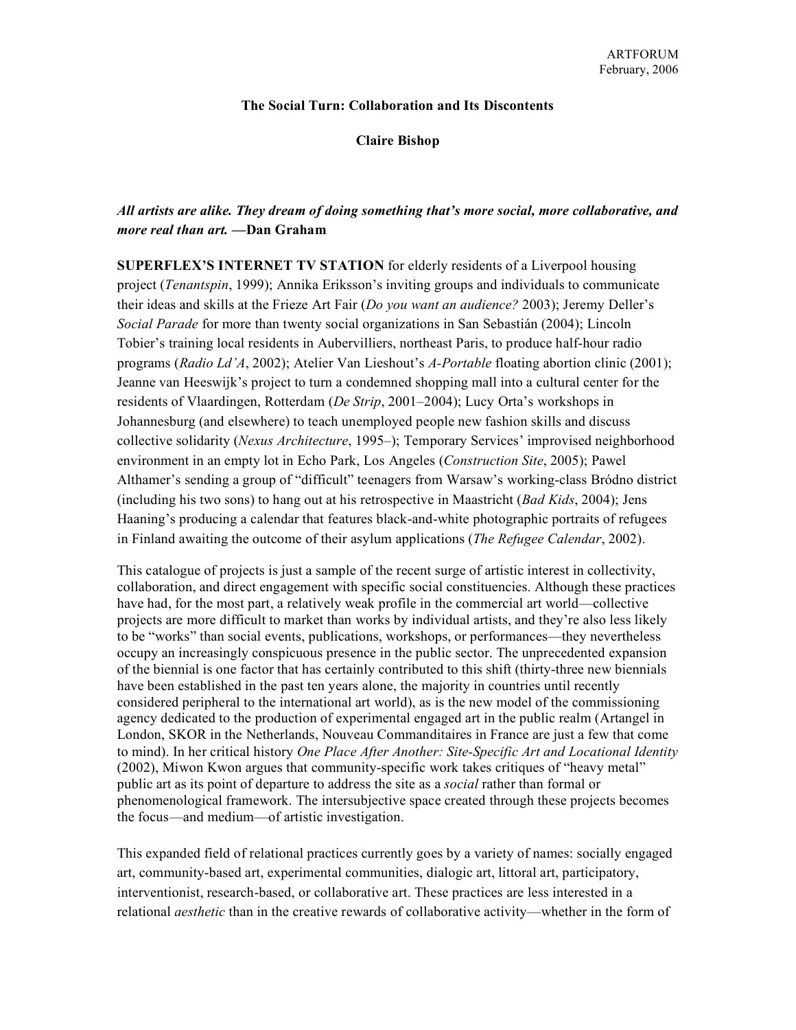## **The Social Turn: Collaboration and Its Discontents**

**Claire Bishop**

## *All artists are alike. They dream of doing something that's more social, more collaborative, and more real than art.* **—Dan Graham**

**SUPERFLEX'S INTERNET TV STATION** for elderly residents of a Liverpool housing project (*Tenantspin*, 1999); Annika Eriksson's inviting groups and individuals to communicate their ideas and skills at the Frieze Art Fair (*Do you want an audience?* 2003); Jeremy Deller's *Social Parade* for more than twenty social organizations in San Sebastián (2004); Lincoln Tobier's training local residents in Aubervilliers, northeast Paris, to produce half-hour radio programs (*Radio Ld'A*, 2002); Atelier Van Lieshout's *A-Portable* floating abortion clinic (2001); Jeanne van Heeswijk's project to turn a condemned shopping mall into a cultural center for the residents of Vlaardingen, Rotterdam (*De Strip*, 2001–2004); Lucy Orta's workshops in Johannesburg (and elsewhere) to teach unemployed people new fashion skills and discuss collective solidarity (*Nexus Architecture*, 1995–); Temporary Services' improvised neighborhood environment in an empty lot in Echo Park, Los Angeles (*Construction Site*, 2005); Pawel Althamer's sending a group of "difficult" teenagers from Warsaw's working-class Bródno district (including his two sons) to hang out at his retrospective in Maastricht (*Bad Kids*, 2004); Jens Haaning's producing a calendar that features black-and-white photographic portraits of refugees in Finland awaiting the outcome of their asylum applications (*The Refugee Calendar*, 2002).

This catalogue of projects is just a sample of the recent surge of artistic interest in collectivity, collaboration, and direct engagement with specific social constituencies. Although these practices have had, for the most part, a relatively weak profile in the commercial art world—collective projects are more difficult to market than works by individual artists, and they're also less likely to be "works" than social events, publications, workshops, or performances—they nevertheless occupy an increasingly conspicuous presence in the public sector. The unprecedented expansion of the biennial is one factor that has certainly contributed to this shift (thirty-three new biennials have been established in the past ten years alone, the majority in countries until recently considered peripheral to the international art world), as is the new model of the commissioning agency dedicated to the production of experimental engaged art in the public realm (Artangel in London, SKOR in the Netherlands, Nouveau Commanditaires in France are just a few that come to mind). In her critical history *One Place After Another: Site-Specific Art and Locational Identity* (2002), Miwon Kwon argues that community-specific work takes critiques of "heavy metal" public art as its point of departure to address the site as a *social* rather than formal or phenomenological framework. The intersubjective space created through these projects becomes the focus—and medium—of artistic investigation.

This expanded field of relational practices currently goes by a variety of names: socially engaged art, community-based art, experimental communities, dialogic art, littoral art, participatory, interventionist, research-based, or collaborative art. These practices are less interested in a relational *aesthetic* than in the creative rewards of collaborative activity—whether in the form of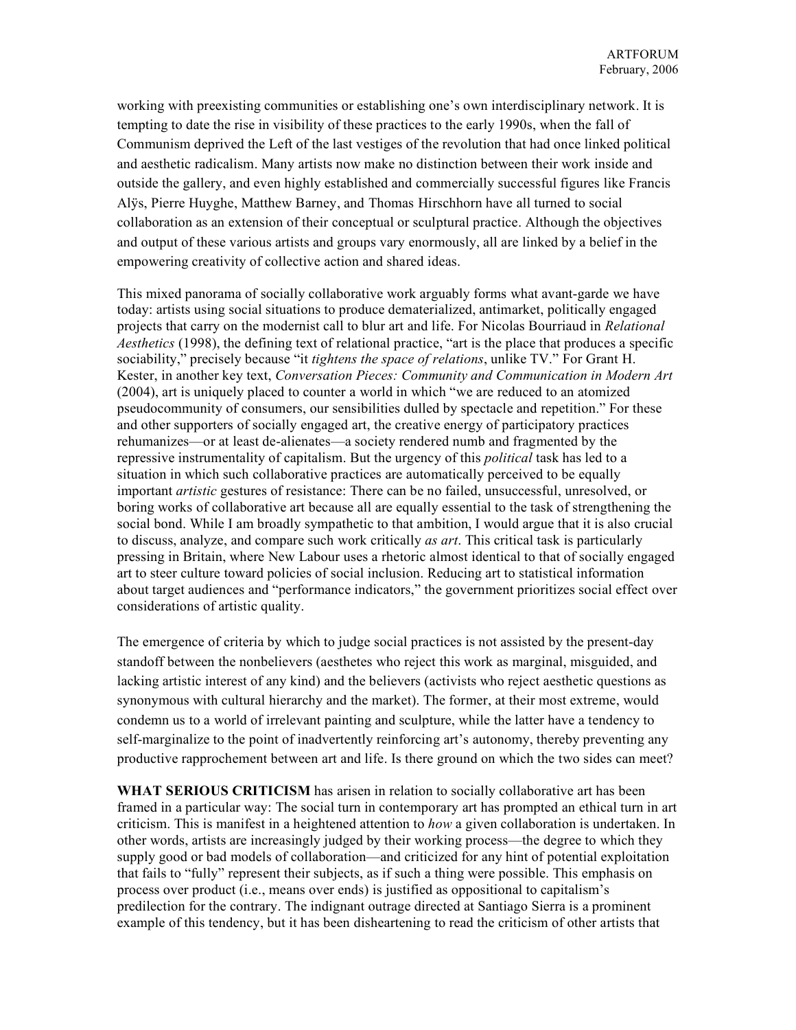working with preexisting communities or establishing one's own interdisciplinary network. It is tempting to date the rise in visibility of these practices to the early 1990s, when the fall of Communism deprived the Left of the last vestiges of the revolution that had once linked political and aesthetic radicalism. Many artists now make no distinction between their work inside and outside the gallery, and even highly established and commercially successful figures like Francis Alÿs, Pierre Huyghe, Matthew Barney, and Thomas Hirschhorn have all turned to social collaboration as an extension of their conceptual or sculptural practice. Although the objectives and output of these various artists and groups vary enormously, all are linked by a belief in the empowering creativity of collective action and shared ideas.

This mixed panorama of socially collaborative work arguably forms what avant-garde we have today: artists using social situations to produce dematerialized, antimarket, politically engaged projects that carry on the modernist call to blur art and life. For Nicolas Bourriaud in *Relational Aesthetics* (1998), the defining text of relational practice, "art is the place that produces a specific sociability," precisely because "it *tightens the space of relations*, unlike TV." For Grant H. Kester, in another key text, *Conversation Pieces: Community and Communication in Modern Art* (2004), art is uniquely placed to counter a world in which "we are reduced to an atomized pseudocommunity of consumers, our sensibilities dulled by spectacle and repetition." For these and other supporters of socially engaged art, the creative energy of participatory practices rehumanizes—or at least de-alienates—a society rendered numb and fragmented by the repressive instrumentality of capitalism. But the urgency of this *political* task has led to a situation in which such collaborative practices are automatically perceived to be equally important *artistic* gestures of resistance: There can be no failed, unsuccessful, unresolved, or boring works of collaborative art because all are equally essential to the task of strengthening the social bond. While I am broadly sympathetic to that ambition, I would argue that it is also crucial to discuss, analyze, and compare such work critically *as art*. This critical task is particularly pressing in Britain, where New Labour uses a rhetoric almost identical to that of socially engaged art to steer culture toward policies of social inclusion. Reducing art to statistical information about target audiences and "performance indicators," the government prioritizes social effect over considerations of artistic quality.

The emergence of criteria by which to judge social practices is not assisted by the present-day standoff between the nonbelievers (aesthetes who reject this work as marginal, misguided, and lacking artistic interest of any kind) and the believers (activists who reject aesthetic questions as synonymous with cultural hierarchy and the market). The former, at their most extreme, would condemn us to a world of irrelevant painting and sculpture, while the latter have a tendency to self-marginalize to the point of inadvertently reinforcing art's autonomy, thereby preventing any productive rapprochement between art and life. Is there ground on which the two sides can meet?

**WHAT SERIOUS CRITICISM** has arisen in relation to socially collaborative art has been framed in a particular way: The social turn in contemporary art has prompted an ethical turn in art criticism. This is manifest in a heightened attention to *how* a given collaboration is undertaken. In other words, artists are increasingly judged by their working process—the degree to which they supply good or bad models of collaboration—and criticized for any hint of potential exploitation that fails to "fully" represent their subjects, as if such a thing were possible. This emphasis on process over product (i.e., means over ends) is justified as oppositional to capitalism's predilection for the contrary. The indignant outrage directed at Santiago Sierra is a prominent example of this tendency, but it has been disheartening to read the criticism of other artists that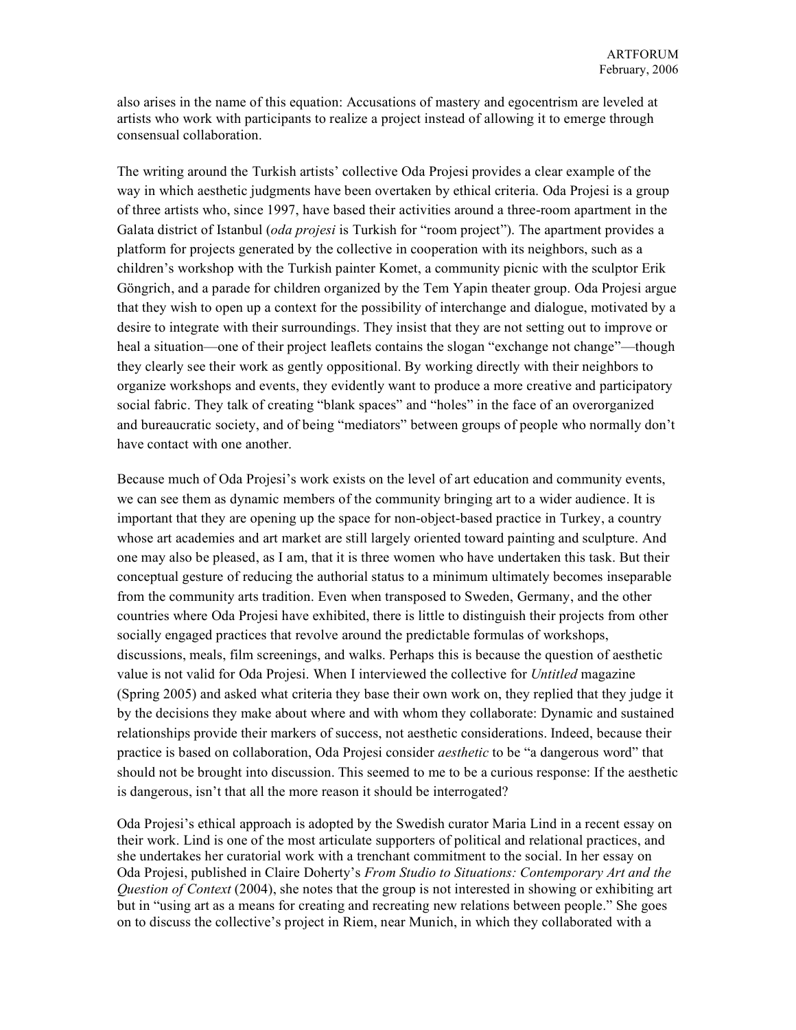also arises in the name of this equation: Accusations of mastery and egocentrism are leveled at artists who work with participants to realize a project instead of allowing it to emerge through consensual collaboration.

The writing around the Turkish artists' collective Oda Projesi provides a clear example of the way in which aesthetic judgments have been overtaken by ethical criteria. Oda Projesi is a group of three artists who, since 1997, have based their activities around a three-room apartment in the Galata district of Istanbul (*oda projesi* is Turkish for "room project"). The apartment provides a platform for projects generated by the collective in cooperation with its neighbors, such as a children's workshop with the Turkish painter Komet, a community picnic with the sculptor Erik Göngrich, and a parade for children organized by the Tem Yapin theater group. Oda Projesi argue that they wish to open up a context for the possibility of interchange and dialogue, motivated by a desire to integrate with their surroundings. They insist that they are not setting out to improve or heal a situation—one of their project leaflets contains the slogan "exchange not change"—though they clearly see their work as gently oppositional. By working directly with their neighbors to organize workshops and events, they evidently want to produce a more creative and participatory social fabric. They talk of creating "blank spaces" and "holes" in the face of an overorganized and bureaucratic society, and of being "mediators" between groups of people who normally don't have contact with one another.

Because much of Oda Projesi's work exists on the level of art education and community events, we can see them as dynamic members of the community bringing art to a wider audience. It is important that they are opening up the space for non-object-based practice in Turkey, a country whose art academies and art market are still largely oriented toward painting and sculpture. And one may also be pleased, as I am, that it is three women who have undertaken this task. But their conceptual gesture of reducing the authorial status to a minimum ultimately becomes inseparable from the community arts tradition. Even when transposed to Sweden, Germany, and the other countries where Oda Projesi have exhibited, there is little to distinguish their projects from other socially engaged practices that revolve around the predictable formulas of workshops, discussions, meals, film screenings, and walks. Perhaps this is because the question of aesthetic value is not valid for Oda Projesi. When I interviewed the collective for *Untitled* magazine (Spring 2005) and asked what criteria they base their own work on, they replied that they judge it by the decisions they make about where and with whom they collaborate: Dynamic and sustained relationships provide their markers of success, not aesthetic considerations. Indeed, because their practice is based on collaboration, Oda Projesi consider *aesthetic* to be "a dangerous word" that should not be brought into discussion. This seemed to me to be a curious response: If the aesthetic is dangerous, isn't that all the more reason it should be interrogated?

Oda Projesi's ethical approach is adopted by the Swedish curator Maria Lind in a recent essay on their work. Lind is one of the most articulate supporters of political and relational practices, and she undertakes her curatorial work with a trenchant commitment to the social. In her essay on Oda Projesi, published in Claire Doherty's *From Studio to Situations: Contemporary Art and the Question of Context* (2004), she notes that the group is not interested in showing or exhibiting art but in "using art as a means for creating and recreating new relations between people." She goes on to discuss the collective's project in Riem, near Munich, in which they collaborated with a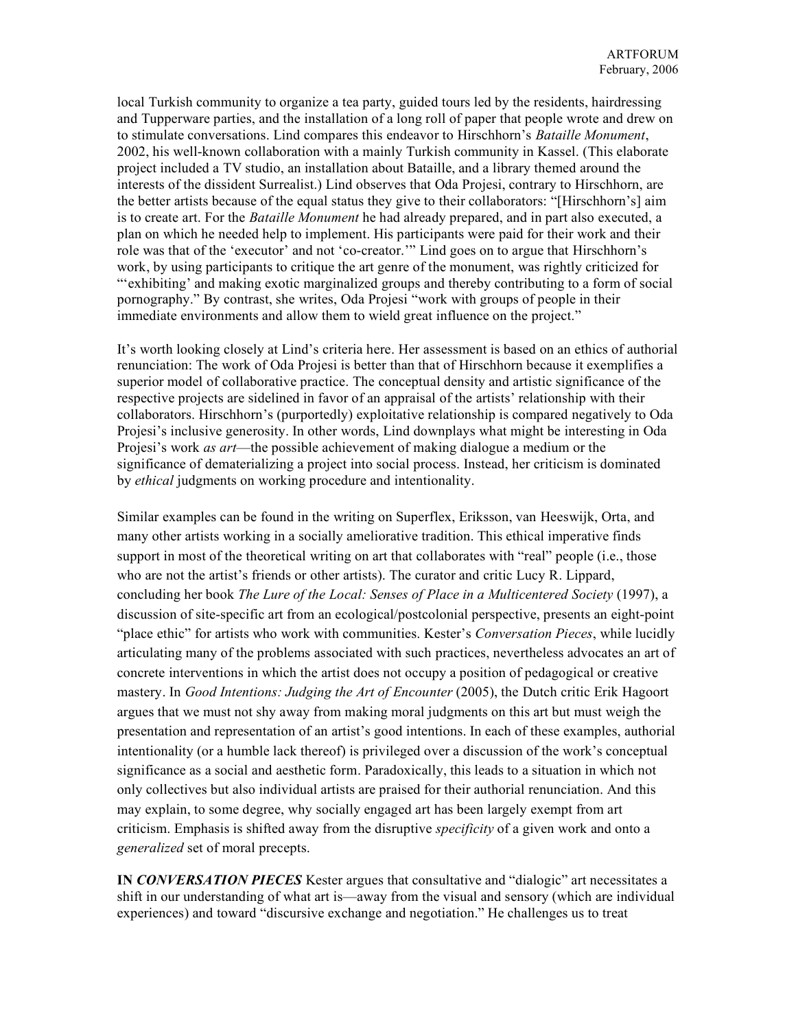local Turkish community to organize a tea party, guided tours led by the residents, hairdressing and Tupperware parties, and the installation of a long roll of paper that people wrote and drew on to stimulate conversations. Lind compares this endeavor to Hirschhorn's *Bataille Monument*, 2002, his well-known collaboration with a mainly Turkish community in Kassel. (This elaborate project included a TV studio, an installation about Bataille, and a library themed around the interests of the dissident Surrealist.) Lind observes that Oda Projesi, contrary to Hirschhorn, are the better artists because of the equal status they give to their collaborators: "[Hirschhorn's] aim is to create art. For the *Bataille Monument* he had already prepared, and in part also executed, a plan on which he needed help to implement. His participants were paid for their work and their role was that of the 'executor' and not 'co-creator.'" Lind goes on to argue that Hirschhorn's work, by using participants to critique the art genre of the monument, was rightly criticized for "'exhibiting' and making exotic marginalized groups and thereby contributing to a form of social pornography." By contrast, she writes, Oda Projesi "work with groups of people in their immediate environments and allow them to wield great influence on the project."

It's worth looking closely at Lind's criteria here. Her assessment is based on an ethics of authorial renunciation: The work of Oda Projesi is better than that of Hirschhorn because it exemplifies a superior model of collaborative practice. The conceptual density and artistic significance of the respective projects are sidelined in favor of an appraisal of the artists' relationship with their collaborators. Hirschhorn's (purportedly) exploitative relationship is compared negatively to Oda Projesi's inclusive generosity. In other words, Lind downplays what might be interesting in Oda Projesi's work *as art*—the possible achievement of making dialogue a medium or the significance of dematerializing a project into social process. Instead, her criticism is dominated by *ethical* judgments on working procedure and intentionality.

Similar examples can be found in the writing on Superflex, Eriksson, van Heeswijk, Orta, and many other artists working in a socially ameliorative tradition. This ethical imperative finds support in most of the theoretical writing on art that collaborates with "real" people (i.e., those who are not the artist's friends or other artists). The curator and critic Lucy R. Lippard, concluding her book *The Lure of the Local: Senses of Place in a Multicentered Society* (1997), a discussion of site-specific art from an ecological/postcolonial perspective, presents an eight-point "place ethic" for artists who work with communities. Kester's *Conversation Pieces*, while lucidly articulating many of the problems associated with such practices, nevertheless advocates an art of concrete interventions in which the artist does not occupy a position of pedagogical or creative mastery. In *Good Intentions: Judging the Art of Encounter* (2005), the Dutch critic Erik Hagoort argues that we must not shy away from making moral judgments on this art but must weigh the presentation and representation of an artist's good intentions. In each of these examples, authorial intentionality (or a humble lack thereof) is privileged over a discussion of the work's conceptual significance as a social and aesthetic form. Paradoxically, this leads to a situation in which not only collectives but also individual artists are praised for their authorial renunciation. And this may explain, to some degree, why socially engaged art has been largely exempt from art criticism. Emphasis is shifted away from the disruptive *specificity* of a given work and onto a *generalized* set of moral precepts.

**IN** *CONVERSATION PIECES* Kester argues that consultative and "dialogic" art necessitates a shift in our understanding of what art is—away from the visual and sensory (which are individual experiences) and toward "discursive exchange and negotiation." He challenges us to treat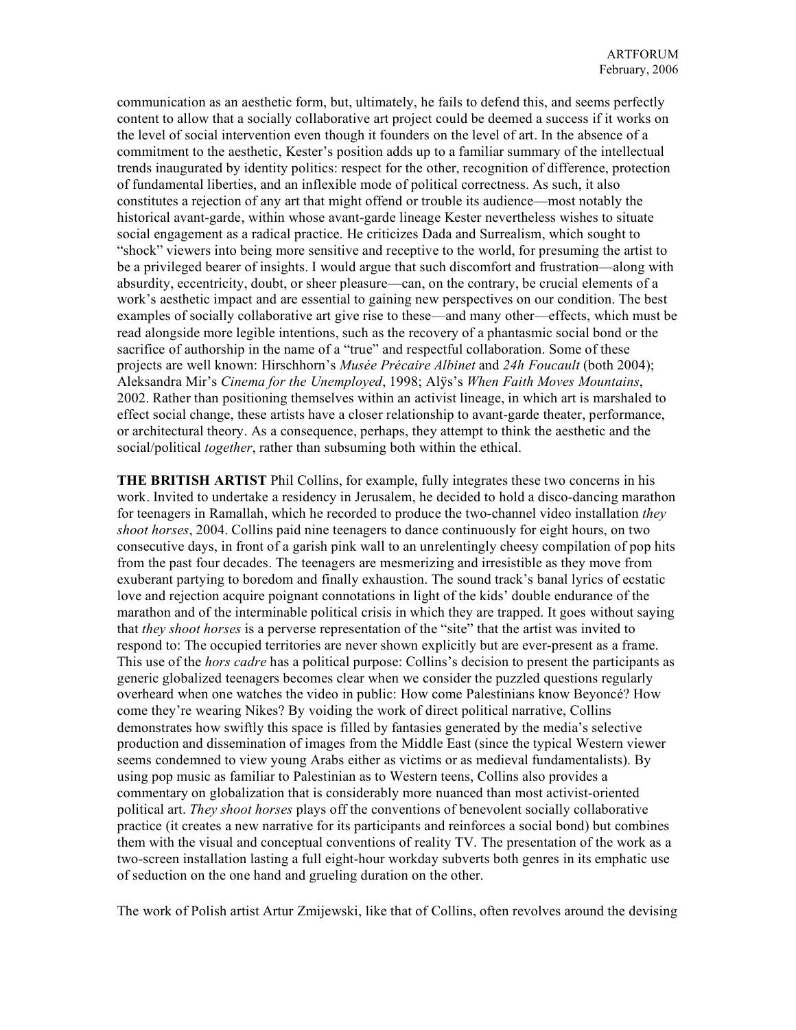communication as an aesthetic form, but, ultimately, he fails to defend this, and seems perfectly content to allow that a socially collaborative art project could be deemed a success if it works on the level of social intervention even though it founders on the level of art. In the absence of a commitment to the aesthetic, Kester's position adds up to a familiar summary of the intellectual trends inaugurated by identity politics: respect for the other, recognition of difference, protection of fundamental liberties, and an inflexible mode of political correctness. As such, it also constitutes a rejection of any art that might offend or trouble its audience—most notably the historical avant-garde, within whose avant-garde lineage Kester nevertheless wishes to situate social engagement as a radical practice. He criticizes Dada and Surrealism, which sought to "shock" viewers into being more sensitive and receptive to the world, for presuming the artist to be a privileged bearer of insights. I would argue that such discomfort and frustration—along with absurdity, eccentricity, doubt, or sheer pleasure—can, on the contrary, be crucial elements of a work's aesthetic impact and are essential to gaining new perspectives on our condition. The best examples of socially collaborative art give rise to these—and many other—effects, which must be read alongside more legible intentions, such as the recovery of a phantasmic social bond or the sacrifice of authorship in the name of a "true" and respectful collaboration. Some of these projects are well known: Hirschhorn's *Musée Précaire Albinet* and *24h Foucault* (both 2004); Aleksandra Mir's *Cinema for the Unemployed*, 1998; Alÿs's *When Faith Moves Mountains*, 2002. Rather than positioning themselves within an activist lineage, in which art is marshaled to effect social change, these artists have a closer relationship to avant-garde theater, performance, or architectural theory. As a consequence, perhaps, they attempt to think the aesthetic and the social/political *together*, rather than subsuming both within the ethical.

**THE BRITISH ARTIST** Phil Collins, for example, fully integrates these two concerns in his work. Invited to undertake a residency in Jerusalem, he decided to hold a disco-dancing marathon for teenagers in Ramallah, which he recorded to produce the two-channel video installation *they shoot horses*, 2004. Collins paid nine teenagers to dance continuously for eight hours, on two consecutive days, in front of a garish pink wall to an unrelentingly cheesy compilation of pop hits from the past four decades. The teenagers are mesmerizing and irresistible as they move from exuberant partying to boredom and finally exhaustion. The sound track's banal lyrics of ecstatic love and rejection acquire poignant connotations in light of the kids' double endurance of the marathon and of the interminable political crisis in which they are trapped. It goes without saying that *they shoot horses* is a perverse representation of the "site" that the artist was invited to respond to: The occupied territories are never shown explicitly but are ever-present as a frame. This use of the *hors cadre* has a political purpose: Collins's decision to present the participants as generic globalized teenagers becomes clear when we consider the puzzled questions regularly overheard when one watches the video in public: How come Palestinians know Beyoncé? How come they're wearing Nikes? By voiding the work of direct political narrative, Collins demonstrates how swiftly this space is filled by fantasies generated by the media's selective production and dissemination of images from the Middle East (since the typical Western viewer seems condemned to view young Arabs either as victims or as medieval fundamentalists). By using pop music as familiar to Palestinian as to Western teens, Collins also provides a commentary on globalization that is considerably more nuanced than most activist-oriented political art. *They shoot horses* plays off the conventions of benevolent socially collaborative practice (it creates a new narrative for its participants and reinforces a social bond) but combines them with the visual and conceptual conventions of reality TV. The presentation of the work as a two-screen installation lasting a full eight-hour workday subverts both genres in its emphatic use of seduction on the one hand and grueling duration on the other.

The work of Polish artist Artur Zmijewski, like that of Collins, often revolves around the devising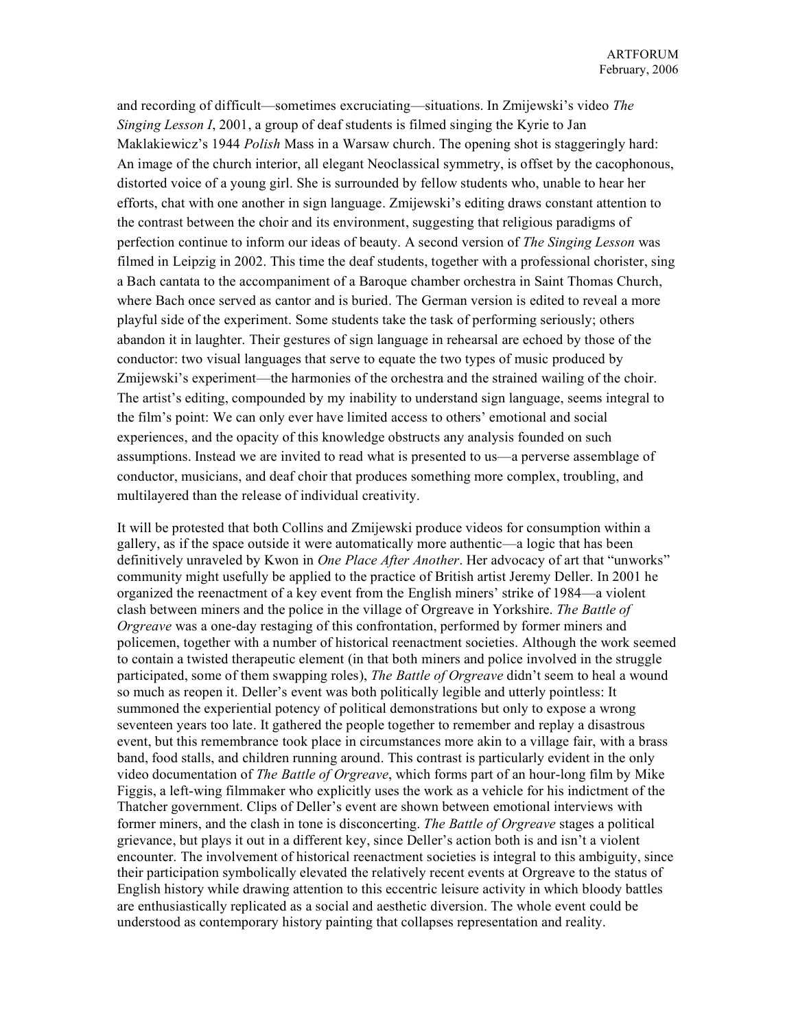and recording of difficult—sometimes excruciating—situations. In Zmijewski's video *The Singing Lesson I*, 2001, a group of deaf students is filmed singing the Kyrie to Jan Maklakiewicz's 1944 *Polish* Mass in a Warsaw church. The opening shot is staggeringly hard: An image of the church interior, all elegant Neoclassical symmetry, is offset by the cacophonous, distorted voice of a young girl. She is surrounded by fellow students who, unable to hear her efforts, chat with one another in sign language. Zmijewski's editing draws constant attention to the contrast between the choir and its environment, suggesting that religious paradigms of perfection continue to inform our ideas of beauty. A second version of *The Singing Lesson* was filmed in Leipzig in 2002. This time the deaf students, together with a professional chorister, sing a Bach cantata to the accompaniment of a Baroque chamber orchestra in Saint Thomas Church, where Bach once served as cantor and is buried. The German version is edited to reveal a more playful side of the experiment. Some students take the task of performing seriously; others abandon it in laughter. Their gestures of sign language in rehearsal are echoed by those of the conductor: two visual languages that serve to equate the two types of music produced by Zmijewski's experiment—the harmonies of the orchestra and the strained wailing of the choir. The artist's editing, compounded by my inability to understand sign language, seems integral to the film's point: We can only ever have limited access to others' emotional and social experiences, and the opacity of this knowledge obstructs any analysis founded on such assumptions. Instead we are invited to read what is presented to us—a perverse assemblage of conductor, musicians, and deaf choir that produces something more complex, troubling, and multilayered than the release of individual creativity.

It will be protested that both Collins and Zmijewski produce videos for consumption within a gallery, as if the space outside it were automatically more authentic—a logic that has been definitively unraveled by Kwon in *One Place After Another*. Her advocacy of art that "unworks" community might usefully be applied to the practice of British artist Jeremy Deller. In 2001 he organized the reenactment of a key event from the English miners' strike of 1984—a violent clash between miners and the police in the village of Orgreave in Yorkshire. *The Battle of Orgreave* was a one-day restaging of this confrontation, performed by former miners and policemen, together with a number of historical reenactment societies. Although the work seemed to contain a twisted therapeutic element (in that both miners and police involved in the struggle participated, some of them swapping roles), *The Battle of Orgreave* didn't seem to heal a wound so much as reopen it. Deller's event was both politically legible and utterly pointless: It summoned the experiential potency of political demonstrations but only to expose a wrong seventeen years too late. It gathered the people together to remember and replay a disastrous event, but this remembrance took place in circumstances more akin to a village fair, with a brass band, food stalls, and children running around. This contrast is particularly evident in the only video documentation of *The Battle of Orgreave*, which forms part of an hour-long film by Mike Figgis, a left-wing filmmaker who explicitly uses the work as a vehicle for his indictment of the Thatcher government. Clips of Deller's event are shown between emotional interviews with former miners, and the clash in tone is disconcerting. *The Battle of Orgreave* stages a political grievance, but plays it out in a different key, since Deller's action both is and isn't a violent encounter. The involvement of historical reenactment societies is integral to this ambiguity, since their participation symbolically elevated the relatively recent events at Orgreave to the status of English history while drawing attention to this eccentric leisure activity in which bloody battles are enthusiastically replicated as a social and aesthetic diversion. The whole event could be understood as contemporary history painting that collapses representation and reality.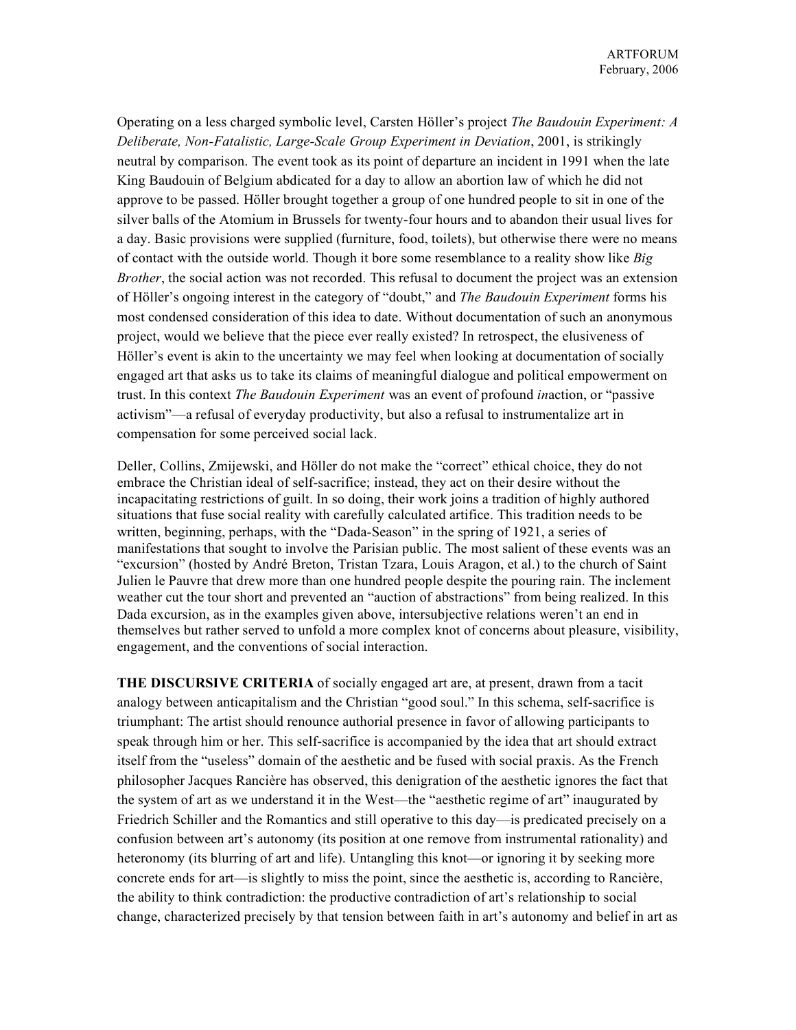Operating on a less charged symbolic level, Carsten Höller's project *The Baudouin Experiment: A Deliberate, Non-Fatalistic, Large-Scale Group Experiment in Deviation*, 2001, is strikingly neutral by comparison. The event took as its point of departure an incident in 1991 when the late King Baudouin of Belgium abdicated for a day to allow an abortion law of which he did not approve to be passed. Höller brought together a group of one hundred people to sit in one of the silver balls of the Atomium in Brussels for twenty-four hours and to abandon their usual lives for a day. Basic provisions were supplied (furniture, food, toilets), but otherwise there were no means of contact with the outside world. Though it bore some resemblance to a reality show like *Big Brother*, the social action was not recorded. This refusal to document the project was an extension of Höller's ongoing interest in the category of "doubt," and *The Baudouin Experiment* forms his most condensed consideration of this idea to date. Without documentation of such an anonymous project, would we believe that the piece ever really existed? In retrospect, the elusiveness of Höller's event is akin to the uncertainty we may feel when looking at documentation of socially engaged art that asks us to take its claims of meaningful dialogue and political empowerment on trust. In this context *The Baudouin Experiment* was an event of profound *in*action, or "passive activism"—a refusal of everyday productivity, but also a refusal to instrumentalize art in compensation for some perceived social lack.

Deller, Collins, Zmijewski, and Höller do not make the "correct" ethical choice, they do not embrace the Christian ideal of self-sacrifice; instead, they act on their desire without the incapacitating restrictions of guilt. In so doing, their work joins a tradition of highly authored situations that fuse social reality with carefully calculated artifice. This tradition needs to be written, beginning, perhaps, with the "Dada-Season" in the spring of 1921, a series of manifestations that sought to involve the Parisian public. The most salient of these events was an "excursion" (hosted by André Breton, Tristan Tzara, Louis Aragon, et al.) to the church of Saint Julien le Pauvre that drew more than one hundred people despite the pouring rain. The inclement weather cut the tour short and prevented an "auction of abstractions" from being realized. In this Dada excursion, as in the examples given above, intersubjective relations weren't an end in themselves but rather served to unfold a more complex knot of concerns about pleasure, visibility, engagement, and the conventions of social interaction.

**THE DISCURSIVE CRITERIA** of socially engaged art are, at present, drawn from a tacit analogy between anticapitalism and the Christian "good soul." In this schema, self-sacrifice is triumphant: The artist should renounce authorial presence in favor of allowing participants to speak through him or her. This self-sacrifice is accompanied by the idea that art should extract itself from the "useless" domain of the aesthetic and be fused with social praxis. As the French philosopher Jacques Rancière has observed, this denigration of the aesthetic ignores the fact that the system of art as we understand it in the West—the "aesthetic regime of art" inaugurated by Friedrich Schiller and the Romantics and still operative to this day—is predicated precisely on a confusion between art's autonomy (its position at one remove from instrumental rationality) and heteronomy (its blurring of art and life). Untangling this knot—or ignoring it by seeking more concrete ends for art—is slightly to miss the point, since the aesthetic is, according to Rancière, the ability to think contradiction: the productive contradiction of art's relationship to social change, characterized precisely by that tension between faith in art's autonomy and belief in art as